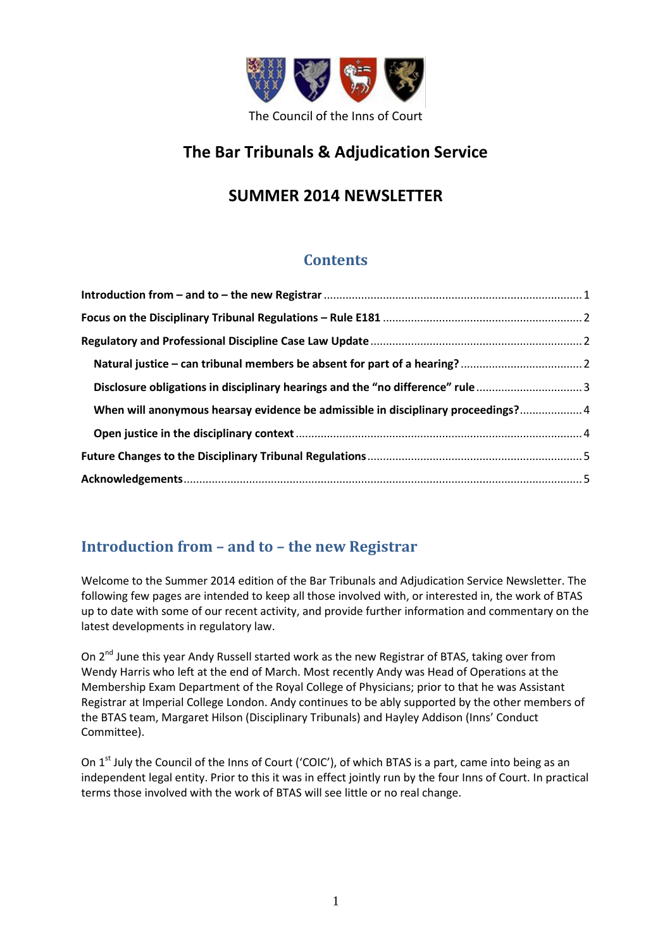

# **The Bar Tribunals & Adjudication Service**

# **SUMMER 2014 NEWSLETTER**

# **Contents**

| Disclosure obligations in disciplinary hearings and the "no difference" rule3     |  |
|-----------------------------------------------------------------------------------|--|
| When will anonymous hearsay evidence be admissible in disciplinary proceedings? 4 |  |
|                                                                                   |  |
|                                                                                   |  |
|                                                                                   |  |

# <span id="page-0-0"></span>**Introduction from – and to – the new Registrar**

Welcome to the Summer 2014 edition of the Bar Tribunals and Adjudication Service Newsletter. The following few pages are intended to keep all those involved with, or interested in, the work of BTAS up to date with some of our recent activity, and provide further information and commentary on the latest developments in regulatory law.

On 2<sup>nd</sup> June this year Andy Russell started work as the new Registrar of BTAS, taking over from Wendy Harris who left at the end of March. Most recently Andy was Head of Operations at the Membership Exam Department of the Royal College of Physicians; prior to that he was Assistant Registrar at Imperial College London. Andy continues to be ably supported by the other members of the BTAS team, Margaret Hilson (Disciplinary Tribunals) and Hayley Addison (Inns' Conduct Committee).

On 1<sup>st</sup> July the Council of the Inns of Court ('COIC'), of which BTAS is a part, came into being as an independent legal entity. Prior to this it was in effect jointly run by the four Inns of Court. In practical terms those involved with the work of BTAS will see little or no real change.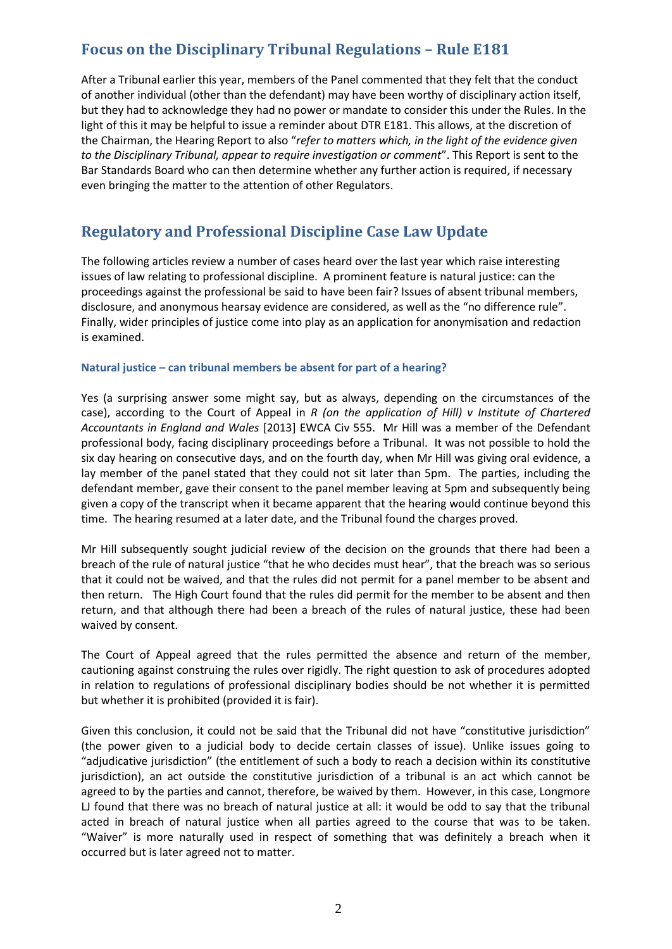# <span id="page-1-0"></span>**Focus on the Disciplinary Tribunal Regulations – Rule E181**

After a Tribunal earlier this year, members of the Panel commented that they felt that the conduct of another individual (other than the defendant) may have been worthy of disciplinary action itself, but they had to acknowledge they had no power or mandate to consider this under the Rules. In the light of this it may be helpful to issue a reminder about DTR E181. This allows, at the discretion of the Chairman, the Hearing Report to also "*refer to matters which, in the light of the evidence given to the Disciplinary Tribunal, appear to require investigation or comment*". This Report is sent to the Bar Standards Board who can then determine whether any further action is required, if necessary even bringing the matter to the attention of other Regulators.

### <span id="page-1-1"></span>**Regulatory and Professional Discipline Case Law Update**

The following articles review a number of cases heard over the last year which raise interesting issues of law relating to professional discipline. A prominent feature is natural justice: can the proceedings against the professional be said to have been fair? Issues of absent tribunal members, disclosure, and anonymous hearsay evidence are considered, as well as the "no difference rule". Finally, wider principles of justice come into play as an application for anonymisation and redaction is examined.

#### <span id="page-1-2"></span>**Natural justice – can tribunal members be absent for part of a hearing?**

Yes (a surprising answer some might say, but as always, depending on the circumstances of the case), according to the Court of Appeal in *R (on the application of Hill) v Institute of Chartered Accountants in England and Wales* [2013] EWCA Civ 555. Mr Hill was a member of the Defendant professional body, facing disciplinary proceedings before a Tribunal. It was not possible to hold the six day hearing on consecutive days, and on the fourth day, when Mr Hill was giving oral evidence, a lay member of the panel stated that they could not sit later than 5pm. The parties, including the defendant member, gave their consent to the panel member leaving at 5pm and subsequently being given a copy of the transcript when it became apparent that the hearing would continue beyond this time. The hearing resumed at a later date, and the Tribunal found the charges proved.

Mr Hill subsequently sought judicial review of the decision on the grounds that there had been a breach of the rule of natural justice "that he who decides must hear", that the breach was so serious that it could not be waived, and that the rules did not permit for a panel member to be absent and then return. The High Court found that the rules did permit for the member to be absent and then return, and that although there had been a breach of the rules of natural justice, these had been waived by consent.

The Court of Appeal agreed that the rules permitted the absence and return of the member, cautioning against construing the rules over rigidly. The right question to ask of procedures adopted in relation to regulations of professional disciplinary bodies should be not whether it is permitted but whether it is prohibited (provided it is fair).

Given this conclusion, it could not be said that the Tribunal did not have "constitutive jurisdiction" (the power given to a judicial body to decide certain classes of issue). Unlike issues going to "adjudicative jurisdiction" (the entitlement of such a body to reach a decision within its constitutive jurisdiction), an act outside the constitutive jurisdiction of a tribunal is an act which cannot be agreed to by the parties and cannot, therefore, be waived by them. However, in this case, Longmore LJ found that there was no breach of natural justice at all: it would be odd to say that the tribunal acted in breach of natural justice when all parties agreed to the course that was to be taken. "Waiver" is more naturally used in respect of something that was definitely a breach when it occurred but is later agreed not to matter.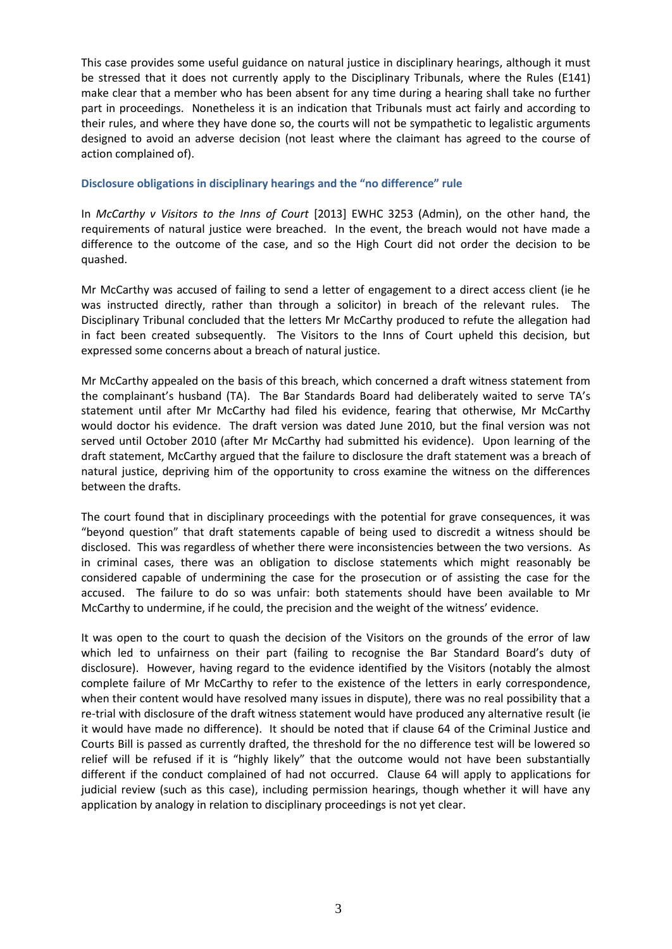This case provides some useful guidance on natural justice in disciplinary hearings, although it must be stressed that it does not currently apply to the Disciplinary Tribunals, where the Rules (E141) make clear that a member who has been absent for any time during a hearing shall take no further part in proceedings. Nonetheless it is an indication that Tribunals must act fairly and according to their rules, and where they have done so, the courts will not be sympathetic to legalistic arguments designed to avoid an adverse decision (not least where the claimant has agreed to the course of action complained of).

#### <span id="page-2-0"></span>**Disclosure obligations in disciplinary hearings and the "no difference" rule**

In *McCarthy v Visitors to the Inns of Court* [2013] EWHC 3253 (Admin), on the other hand, the requirements of natural justice were breached. In the event, the breach would not have made a difference to the outcome of the case, and so the High Court did not order the decision to be quashed.

Mr McCarthy was accused of failing to send a letter of engagement to a direct access client (ie he was instructed directly, rather than through a solicitor) in breach of the relevant rules. The Disciplinary Tribunal concluded that the letters Mr McCarthy produced to refute the allegation had in fact been created subsequently. The Visitors to the Inns of Court upheld this decision, but expressed some concerns about a breach of natural justice.

Mr McCarthy appealed on the basis of this breach, which concerned a draft witness statement from the complainant's husband (TA). The Bar Standards Board had deliberately waited to serve TA's statement until after Mr McCarthy had filed his evidence, fearing that otherwise, Mr McCarthy would doctor his evidence. The draft version was dated June 2010, but the final version was not served until October 2010 (after Mr McCarthy had submitted his evidence). Upon learning of the draft statement, McCarthy argued that the failure to disclosure the draft statement was a breach of natural justice, depriving him of the opportunity to cross examine the witness on the differences between the drafts.

The court found that in disciplinary proceedings with the potential for grave consequences, it was "beyond question" that draft statements capable of being used to discredit a witness should be disclosed. This was regardless of whether there were inconsistencies between the two versions. As in criminal cases, there was an obligation to disclose statements which might reasonably be considered capable of undermining the case for the prosecution or of assisting the case for the accused. The failure to do so was unfair: both statements should have been available to Mr McCarthy to undermine, if he could, the precision and the weight of the witness' evidence.

It was open to the court to quash the decision of the Visitors on the grounds of the error of law which led to unfairness on their part (failing to recognise the Bar Standard Board's duty of disclosure). However, having regard to the evidence identified by the Visitors (notably the almost complete failure of Mr McCarthy to refer to the existence of the letters in early correspondence, when their content would have resolved many issues in dispute), there was no real possibility that a re-trial with disclosure of the draft witness statement would have produced any alternative result (ie it would have made no difference). It should be noted that if clause 64 of the Criminal Justice and Courts Bill is passed as currently drafted, the threshold for the no difference test will be lowered so relief will be refused if it is "highly likely" that the outcome would not have been substantially different if the conduct complained of had not occurred. Clause 64 will apply to applications for judicial review (such as this case), including permission hearings, though whether it will have any application by analogy in relation to disciplinary proceedings is not yet clear.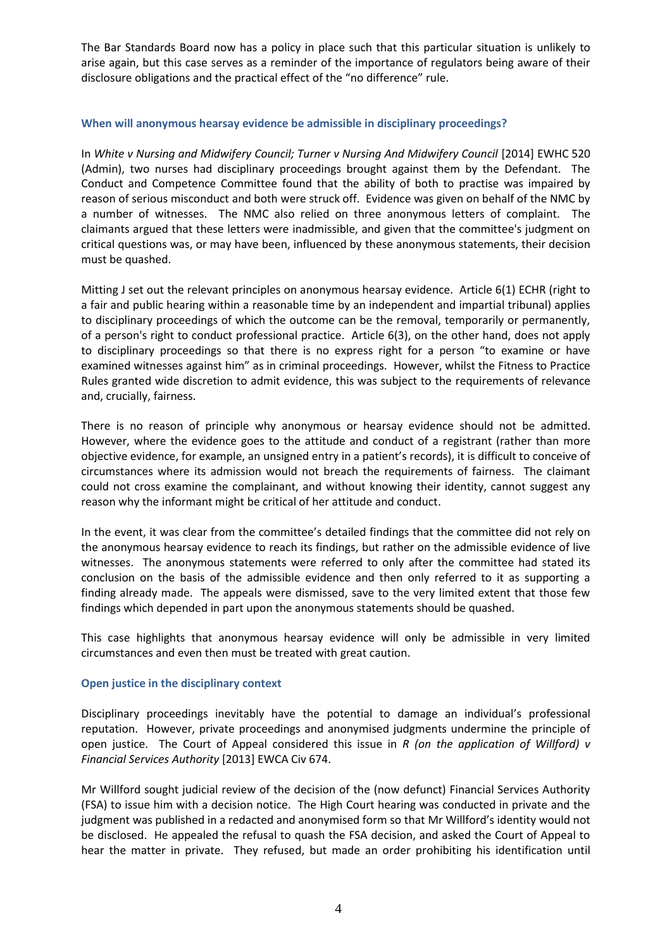The Bar Standards Board now has a policy in place such that this particular situation is unlikely to arise again, but this case serves as a reminder of the importance of regulators being aware of their disclosure obligations and the practical effect of the "no difference" rule.

#### <span id="page-3-0"></span>**When will anonymous hearsay evidence be admissible in disciplinary proceedings?**

In *White v Nursing and Midwifery Council; Turner v Nursing And Midwifery Council* [2014] EWHC 520 (Admin), two nurses had disciplinary proceedings brought against them by the Defendant. The Conduct and Competence Committee found that the ability of both to practise was impaired by reason of serious misconduct and both were struck off. Evidence was given on behalf of the NMC by a number of witnesses. The NMC also relied on three anonymous letters of complaint. The claimants argued that these letters were inadmissible, and given that the committee's judgment on critical questions was, or may have been, influenced by these anonymous statements, their decision must be quashed.

Mitting J set out the relevant principles on anonymous hearsay evidence. Article 6(1) ECHR (right to a fair and public hearing within a reasonable time by an independent and impartial tribunal) applies to disciplinary proceedings of which the outcome can be the removal, temporarily or permanently, of a person's right to conduct professional practice. Article 6(3), on the other hand, does not apply to disciplinary proceedings so that there is no express right for a person "to examine or have examined witnesses against him" as in criminal proceedings. However, whilst the Fitness to Practice Rules granted wide discretion to admit evidence, this was subject to the requirements of relevance and, crucially, fairness.

There is no reason of principle why anonymous or hearsay evidence should not be admitted. However, where the evidence goes to the attitude and conduct of a registrant (rather than more objective evidence, for example, an unsigned entry in a patient's records), it is difficult to conceive of circumstances where its admission would not breach the requirements of fairness. The claimant could not cross examine the complainant, and without knowing their identity, cannot suggest any reason why the informant might be critical of her attitude and conduct.

In the event, it was clear from the committee's detailed findings that the committee did not rely on the anonymous hearsay evidence to reach its findings, but rather on the admissible evidence of live witnesses. The anonymous statements were referred to only after the committee had stated its conclusion on the basis of the admissible evidence and then only referred to it as supporting a finding already made. The appeals were dismissed, save to the very limited extent that those few findings which depended in part upon the anonymous statements should be quashed.

This case highlights that anonymous hearsay evidence will only be admissible in very limited circumstances and even then must be treated with great caution.

#### <span id="page-3-1"></span>**Open justice in the disciplinary context**

Disciplinary proceedings inevitably have the potential to damage an individual's professional reputation. However, private proceedings and anonymised judgments undermine the principle of open justice. The Court of Appeal considered this issue in *R (on the application of Willford) v Financial Services Authority* [2013] EWCA Civ 674.

Mr Willford sought judicial review of the decision of the (now defunct) Financial Services Authority (FSA) to issue him with a decision notice. The High Court hearing was conducted in private and the judgment was published in a redacted and anonymised form so that Mr Willford's identity would not be disclosed. He appealed the refusal to quash the FSA decision, and asked the Court of Appeal to hear the matter in private. They refused, but made an order prohibiting his identification until